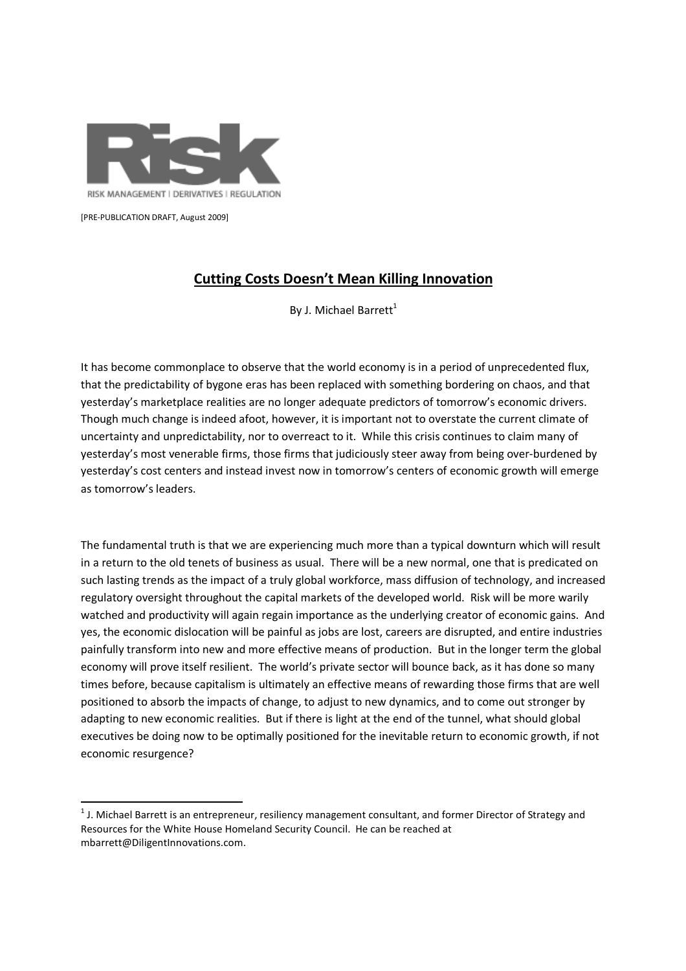

RISK MANAGEMENT | DERIVATIVES | REGULATION

[PRE-PUBLICATION DRAFT, August 2009]

<u>.</u>

## Cutting Costs Doesn't Mean Killing Innovation

By J. Michael Barrett<sup>1</sup>

It has become commonplace to observe that the world economy is in a period of unprecedented flux, that the predictability of bygone eras has been replaced with something bordering on chaos, and that yesterday's marketplace realities are no longer adequate predictors of tomorrow's economic drivers. Though much change is indeed afoot, however, it is important not to overstate the current climate of uncertainty and unpredictability, nor to overreact to it. While this crisis continues to claim many of yesterday's most venerable firms, those firms that judiciously steer away from being over-burdened by yesterday's cost centers and instead invest now in tomorrow's centers of economic growth will emerge as tomorrow's leaders.

The fundamental truth is that we are experiencing much more than a typical downturn which will result in a return to the old tenets of business as usual. There will be a new normal, one that is predicated on such lasting trends as the impact of a truly global workforce, mass diffusion of technology, and increased regulatory oversight throughout the capital markets of the developed world. Risk will be more warily watched and productivity will again regain importance as the underlying creator of economic gains. And yes, the economic dislocation will be painful as jobs are lost, careers are disrupted, and entire industries painfully transform into new and more effective means of production. But in the longer term the global economy will prove itself resilient. The world's private sector will bounce back, as it has done so many times before, because capitalism is ultimately an effective means of rewarding those firms that are well positioned to absorb the impacts of change, to adjust to new dynamics, and to come out stronger by adapting to new economic realities. But if there is light at the end of the tunnel, what should global executives be doing now to be optimally positioned for the inevitable return to economic growth, if not economic resurgence?

 $^1$  J. Michael Barrett is an entrepreneur, resiliency management consultant, and former Director of Strategy and Resources for the White House Homeland Security Council. He can be reached at mbarrett@DiligentInnovations.com.